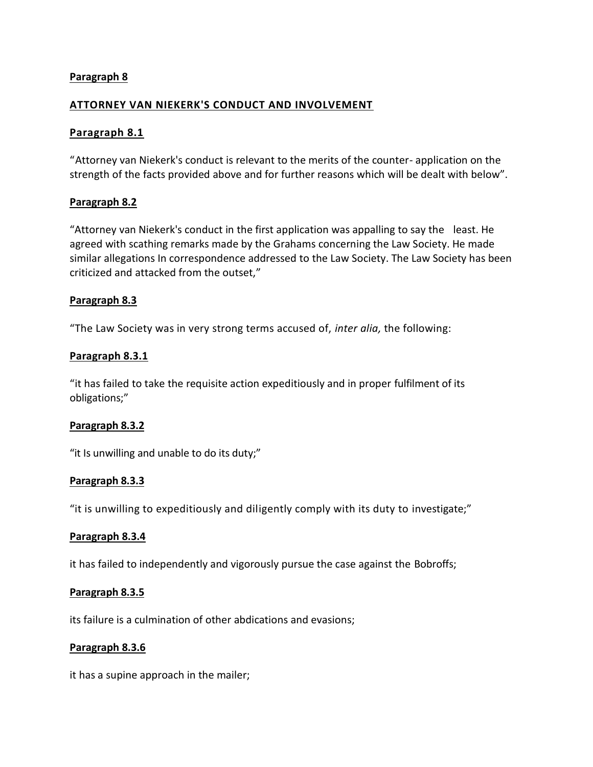# **Paragraph 8**

## **ATTORNEY VAN NIEKERK'S CONDUCT AND INVOLVEMENT**

## **Paragraph 8.1**

"Attorney van Niekerk's conduct is relevant to the merits of the counter- application on the strength of the facts provided above and for further reasons which will be dealt with below".

## **Paragraph 8.2**

"Attorney van Niekerk's conduct in the first application was appalling to say the least. He agreed with scathing remarks made by the Grahams concerning the Law Society. He made similar allegations In correspondence addressed to the Law Society. The Law Society has been criticized and attacked from the outset,"

#### **Paragraph 8.3**

"The Law Society was in very strong terms accused of, *inter alia,* the following:

#### **Paragraph 8.3.1**

"it has failed to take the requisite action expeditiously and in proper fulfilment of its obligations;"

## **Paragraph 8.3.2**

"it Is unwilling and unable to do its duty;"

#### **Paragraph 8.3.3**

"it is unwilling to expeditiously and diligently comply with its duty to investigate;"

#### **Paragraph 8.3.4**

it has failed to independently and vigorously pursue the case against the Bobroffs;

#### **Paragraph 8.3.5**

its failure is a culmination of other abdications and evasions;

#### **Paragraph 8.3.6**

it has a supine approach in the mailer;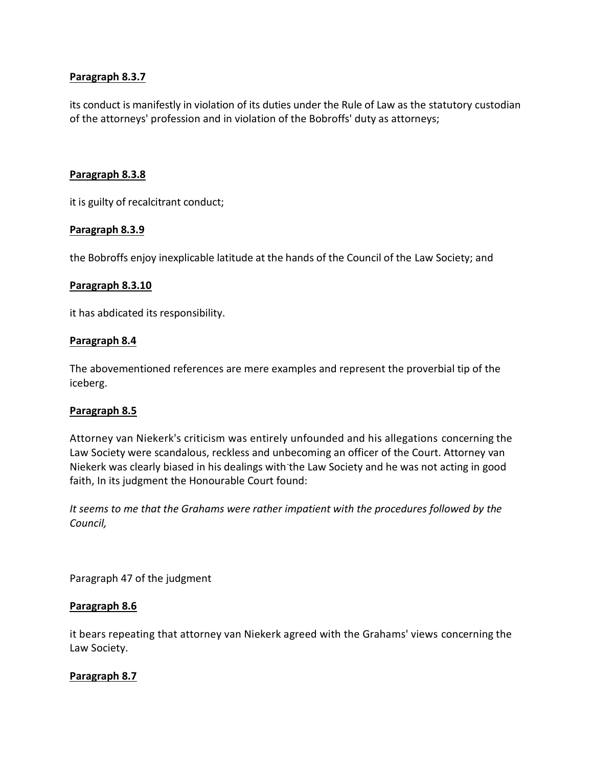# **Paragraph 8.3.7**

its conduct is manifestly in violation of its duties under the Rule of Law as the statutory custodian of the attorneys' profession and in violation of the Bobroffs' duty as attorneys;

#### **Paragraph 8.3.8**

it is guilty of recalcitrant conduct;

## **Paragraph 8.3.9**

the Bobroffs enjoy inexplicable latitude at the hands of the Council of the Law Society; and

#### **Paragraph 8.3.10**

it has abdicated its responsibility.

#### **Paragraph 8.4**

The abovementioned references are mere examples and represent the proverbial tip of the iceberg.

#### **Paragraph 8.5**

Attorney van Niekerk's criticism was entirely unfounded and his allegations concerning the Law Society were scandalous, reckless and unbecoming an officer of the Court. Attorney van Niekerk was clearly biased in his dealings with the Law Society and he was not acting in good faith, In its judgment the Honourable Court found:

*It seems to me that the Grahams were rather impatient with the procedures followed by the Council,*

Paragraph 47 of the judgment

## **Paragraph 8.6**

it bears repeating that attorney van Niekerk agreed with the Grahams' views concerning the Law Society.

## **Paragraph 8.7**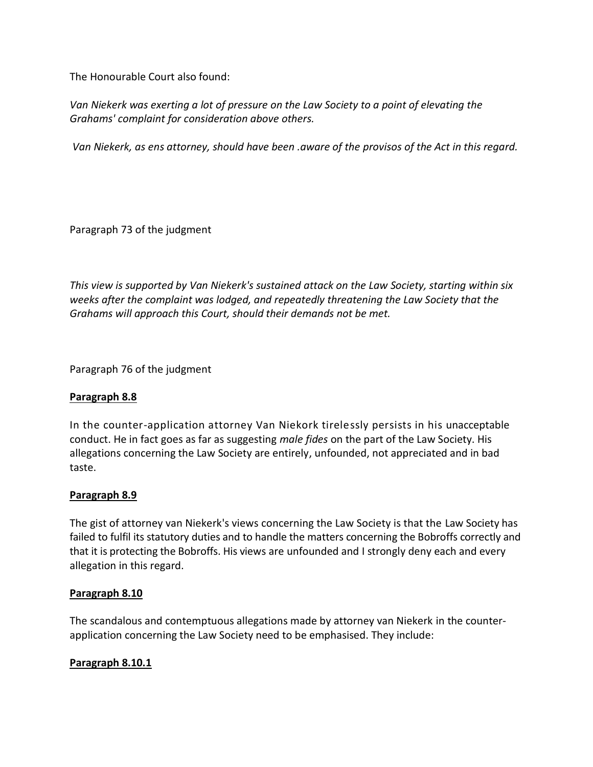The Honourable Court also found:

*Van Niekerk was exerting a lot of pressure on the Law Society to a point of elevating the Grahams' complaint for consideration above others.*

*Van Niekerk, as ens attorney, should have been .aware of the provisos of the Act in this regard.*

Paragraph 73 of the judgment

*This view is supported by Van Niekerk's sustained attack on the Law Society, starting within six weeks after the complaint was lodged, and repeatedly threatening the Law Society that the Grahams will approach this Court, should their demands not be met.*

Paragraph 76 of the judgment

# **Paragraph 8.8**

In the counter-application attorney Van Niekork tirelessly persists in his unacceptable conduct. He in fact goes as far as suggesting *male fides* on the part of the Law Society. His allegations concerning the Law Society are entirely, unfounded, not appreciated and in bad taste.

# **Paragraph 8.9**

The gist of attorney van Niekerk's views concerning the Law Society is that the Law Society has failed to fulfil its statutory duties and to handle the matters concerning the Bobroffs correctly and that it is protecting the Bobroffs. His views are unfounded and I strongly deny each and every allegation in this regard.

# **Paragraph 8.10**

The scandalous and contemptuous allegations made by attorney van Niekerk in the counterapplication concerning the Law Society need to be emphasised. They include:

# **Paragraph 8.10.1**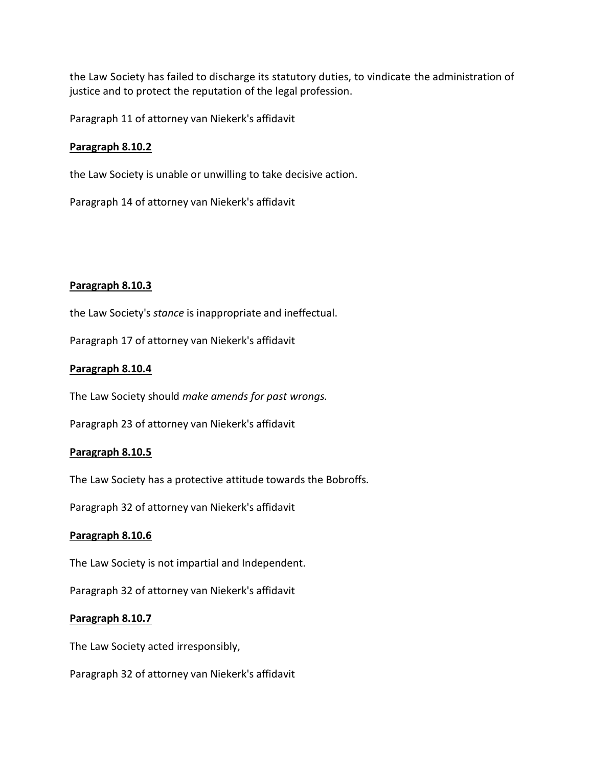the Law Society has failed to discharge its statutory duties, to vindicate the administration of justice and to protect the reputation of the legal profession.

Paragraph 11 of attorney van Niekerk's affidavit

## **Paragraph 8.10.2**

the Law Society is unable or unwilling to take decisive action.

Paragraph 14 of attorney van Niekerk's affidavit

## **Paragraph 8.10.3**

the Law Society's *stance* is inappropriate and ineffectual.

Paragraph 17 of attorney van Niekerk's affidavit

## **Paragraph 8.10.4**

The Law Society should *make amends for past wrongs.*

Paragraph 23 of attorney van Niekerk's affidavit

## **Paragraph 8.10.5**

The Law Society has a protective attitude towards the Bobroffs.

Paragraph 32 of attorney van Niekerk's affidavit

## **Paragraph 8.10.6**

The Law Society is not impartial and Independent.

Paragraph 32 of attorney van Niekerk's affidavit

## **Paragraph 8.10.7**

The Law Society acted irresponsibly,

Paragraph 32 of attorney van Niekerk's affidavit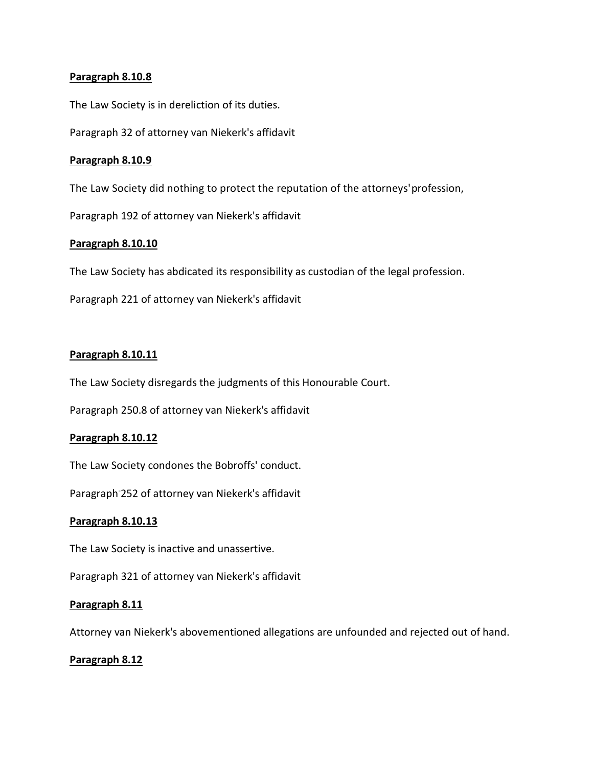## **Paragraph 8.10.8**

The Law Society is in dereliction of its duties.

Paragraph 32 of attorney van Niekerk's affidavit

## **Paragraph 8.10.9**

The Law Society did nothing to protect the reputation of the attorneys'profession,

Paragraph 192 of attorney van Niekerk's affidavit

## **Paragraph 8.10.10**

The Law Society has abdicated its responsibility as custodian of the legal profession.

Paragraph 221 of attorney van Niekerk's affidavit

## **Paragraph 8.10.11**

The Law Society disregards the judgments of this Honourable Court.

Paragraph 250.8 of attorney van Niekerk's affidavit

#### **Paragraph 8.10.12**

The Law Society condones the Bobroffs' conduct.

Paragraph-252 of attorney van Niekerk's affidavit

## **Paragraph 8.10.13**

The Law Society is inactive and unassertive.

Paragraph 321 of attorney van Niekerk's affidavit

## **Paragraph 8.11**

Attorney van Niekerk's abovementioned allegations are unfounded and rejected out of hand.

## **Paragraph 8.12**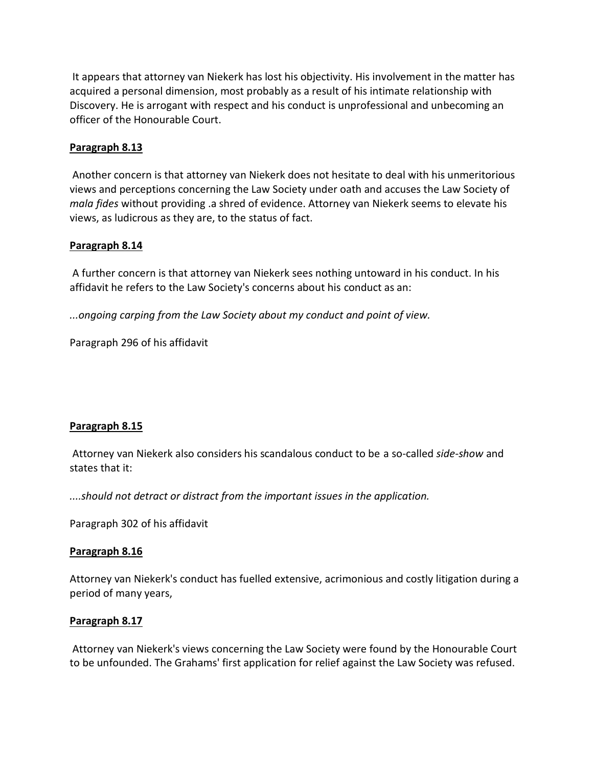It appears that attorney van Niekerk has lost his objectivity. His involvement in the matter has acquired a personal dimension, most probably as a result of his intimate relationship with Discovery. He is arrogant with respect and his conduct is unprofessional and unbecoming an officer of the Honourable Court.

## **Paragraph 8.13**

Another concern is that attorney van Niekerk does not hesitate to deal with his unmeritorious views and perceptions concerning the Law Society under oath and accuses the Law Society of *mala fides* without providing .a shred of evidence. Attorney van Niekerk seems to elevate his views, as ludicrous as they are, to the status of fact.

#### **Paragraph 8.14**

A further concern is that attorney van Niekerk sees nothing untoward in his conduct. In his affidavit he refers to the Law Society's concerns about his conduct as an:

*...ongoing carping from the Law Society about my conduct and point of view.*

Paragraph 296 of his affidavit

## **Paragraph 8.15**

Attorney van Niekerk also considers his scandalous conduct to be a so-called *side-show* and states that it:

*....should not detract or distract from the important issues in the application.*

Paragraph 302 of his affidavit

#### **Paragraph 8.16**

Attorney van Niekerk's conduct has fuelled extensive, acrimonious and costly litigation during a period of many years,

#### **Paragraph 8.17**

Attorney van Niekerk's views concerning the Law Society were found by the Honourable Court to be unfounded. The Grahams' first application for relief against the Law Society was refused.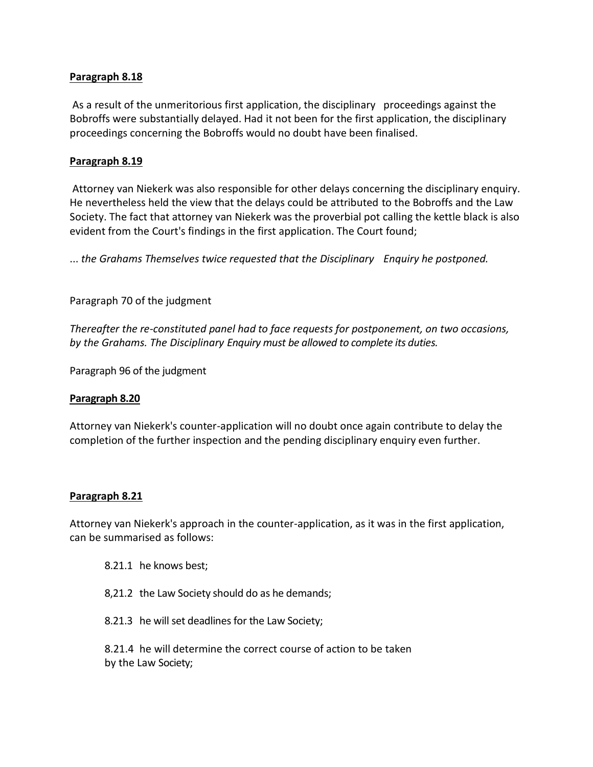## **Paragraph 8.18**

As a result of the unmeritorious first application, the disciplinary proceedings against the Bobroffs were substantially delayed. Had it not been for the first application, the disciplinary proceedings concerning the Bobroffs would no doubt have been finalised.

## **Paragraph 8.19**

Attorney van Niekerk was also responsible for other delays concerning the disciplinary enquiry. He nevertheless held the view that the delays could be attributed to the Bobroffs and the Law Society. The fact that attorney van Niekerk was the proverbial pot calling the kettle black is also evident from the Court's findings in the first application. The Court found;

... *the Grahams Themselves twice requested that the Disciplinary Enquiry he postponed.*

Paragraph 70 of the judgment

*Thereafter the re-constituted panel had to face requests for postponement, on two occasions, by the Grahams. The Disciplinary Enquiry must be allowed to complete its duties.*

Paragraph 96 of the judgment

#### **Paragraph 8.20**

Attorney van Niekerk's counter-application will no doubt once again contribute to delay the completion of the further inspection and the pending disciplinary enquiry even further.

#### **Paragraph 8.21**

Attorney van Niekerk's approach in the counter-application, as it was in the first application, can be summarised as follows:

- 8.21.1 he knows best;
- 8,21.2 the Law Society should do as he demands;
- 8.21.3 he will set deadlines for the Law Society;

8.21.4 he will determine the correct course of action to be taken by the Law Society;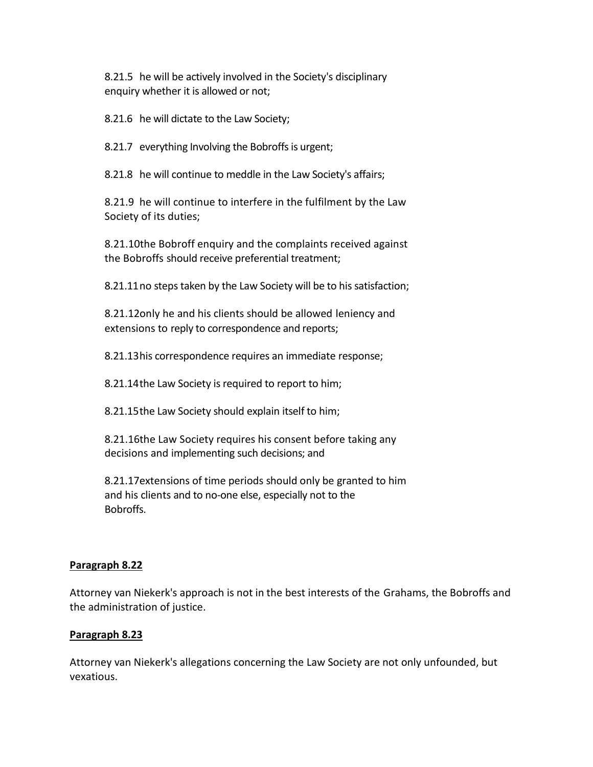8.21.5 he will be actively involved in the Society's disciplinary enquiry whether it is allowed or not;

8.21.6 he will dictate to the Law Society;

8.21.7 everything Involving the Bobroffs is urgent;

8.21.8 he will continue to meddle in the Law Society's affairs;

8.21.9 he will continue to interfere in the fulfilment by the Law Society of its duties;

8.21.10the Bobroff enquiry and the complaints received against the Bobroffs should receive preferential treatment;

8.21.11no steps taken by the Law Society will be to his satisfaction;

8.21.12only he and his clients should be allowed leniency and extensions to reply to correspondence and reports;

8.21.13his correspondence requires an immediate response;

8.21.14the Law Society is required to report to him;

8.21.15the Law Society should explain itself to him;

8.21.16the Law Society requires his consent before taking any decisions and implementing such decisions; and

8.21.17extensions of time periods should only be granted to him and his clients and to no-one else, especially not to the Bobroffs.

## **Paragraph 8.22**

Attorney van Niekerk's approach is not in the best interests of the Grahams, the Bobroffs and the administration of justice.

## **Paragraph 8.23**

Attorney van Niekerk's allegations concerning the Law Society are not only unfounded, but vexatious.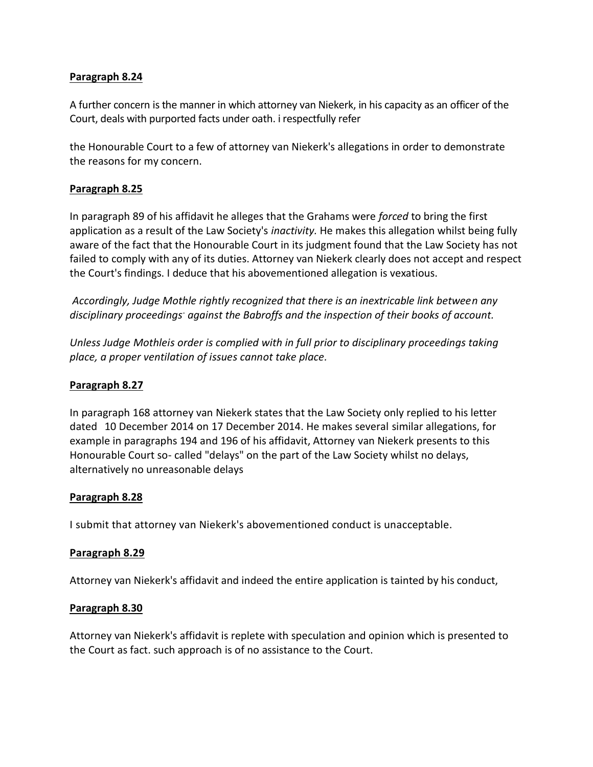# **Paragraph 8.24**

A further concern is the manner in which attorney van Niekerk, in his capacity as an officer of the Court, deals with purported facts under oath. i respectfully refer

the Honourable Court to a few of attorney van Niekerk's allegations in order to demonstrate the reasons for my concern.

# **Paragraph 8.25**

In paragraph 89 of his affidavit he alleges that the Grahams were *forced* to bring the first application as a result of the Law Society's *inactivity.* He makes this allegation whilst being fully aware of the fact that the Honourable Court in its judgment found that the Law Society has not failed to comply with any of its duties. Attorney van Niekerk clearly does not accept and respect the Court's findings. I deduce that his abovementioned allegation is vexatious.

*Accordingly, Judge Mothle rightly recognized that there is an inextricable link between any disciplinary proceedings- against the Babroffs and the inspection of their books of account.*

*Unless Judge Mothleis order is complied with in full prior to disciplinary proceedings taking place, a proper ventilation of issues cannot take place.*

## **Paragraph 8.27**

In paragraph 168 attorney van Niekerk states that the Law Society only replied to his letter dated 10 December 2014 on 17 December 2014. He makes several similar allegations, for example in paragraphs 194 and 196 of his affidavit, Attorney van Niekerk presents to this Honourable Court so- called "delays" on the part of the Law Society whilst no delays, alternatively no unreasonable delays

## **Paragraph 8.28**

I submit that attorney van Niekerk's abovementioned conduct is unacceptable.

## **Paragraph 8.29**

Attorney van Niekerk's affidavit and indeed the entire application is tainted by his conduct,

## **Paragraph 8.30**

Attorney van Niekerk's affidavit is replete with speculation and opinion which is presented to the Court as fact. such approach is of no assistance to the Court.